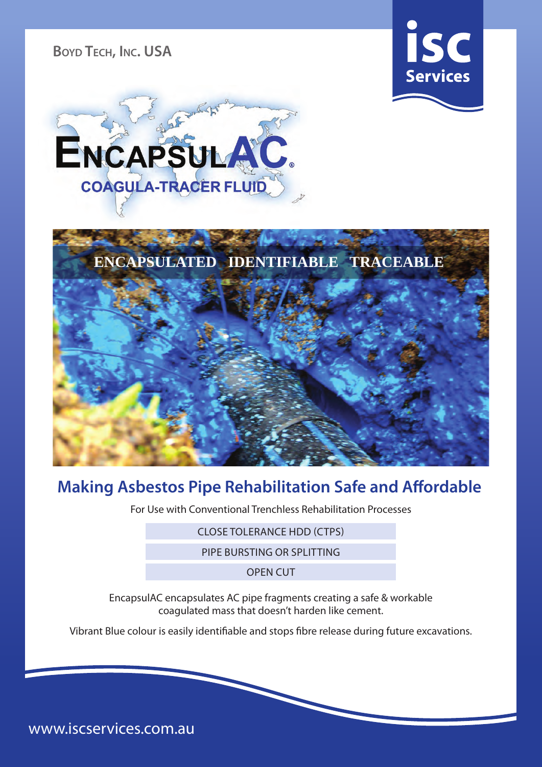**Boyd Tech, Inc. USA**







## **Making Asbestos Pipe Rehabilitation Safe and Affordable**

For Use with Conventional Trenchless Rehabilitation Processes

CLOSE TOLERANCE HDD (CTPS)

PIPE BURSTING OR SPLITTING

OPEN CUT

EncapsulAC encapsulates AC pipe fragments creating a safe & workable coagulated mass that doesn't harden like cement.

Vibrant Blue colour is easily identifiable and stops fibre release during future excavations.

www.iscservices.com.au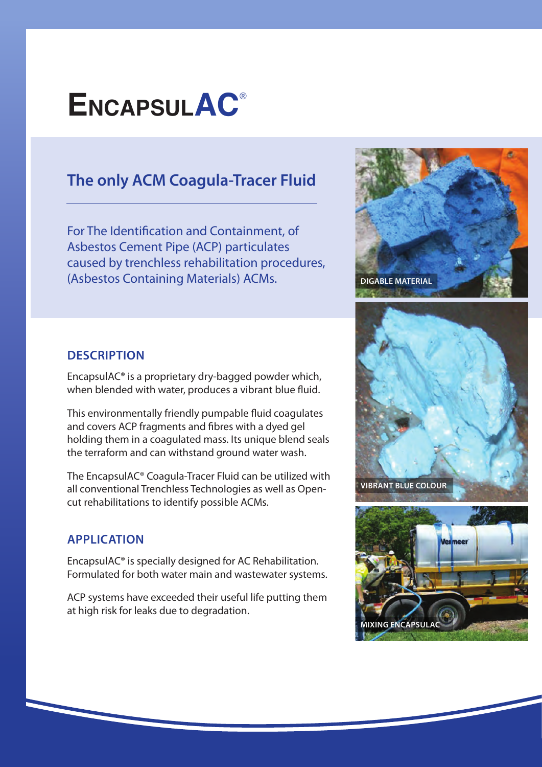# **EncapsulAC**®

## **The only ACM Coagula-Tracer Fluid**

For The Identification and Containment, of Asbestos Cement Pipe (ACP) particulates caused by trenchless rehabilitation procedures, (Asbestos Containing Materials) ACMs.



#### **DESCRIPTION**

EncapsulAC® is a proprietary dry-bagged powder which, when blended with water, produces a vibrant blue fluid.

This environmentally friendly pumpable fluid coagulates and covers ACP fragments and fibres with a dyed gel holding them in a coagulated mass. Its unique blend seals the terraform and can withstand ground water wash.

The EncapsulAC® Coagula-Tracer Fluid can be utilized with all conventional Trenchless Technologies as well as Opencut rehabilitations to identify possible ACMs.

#### **APPLICATION**

EncapsulAC® is specially designed for AC Rehabilitation. Formulated for both water main and wastewater systems.

ACP systems have exceeded their useful life putting them at high risk for leaks due to degradation.



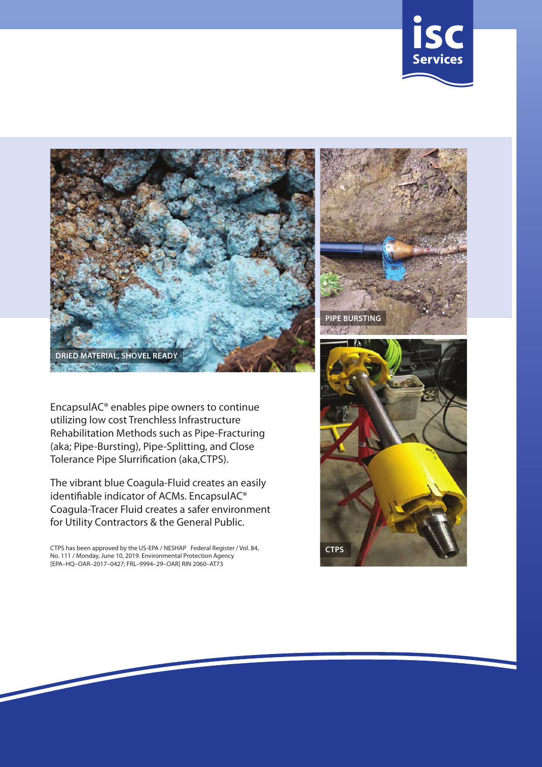



EncapsulAC® enables pipe owners to continue utilizing low cost Trenchless Infrastructure Rehabilitation Methods such as Pipe-Fracturing (aka; Pipe-Bursting), Pipe-Splitting, and Close Tolerance Pipe Slurrification (aka,CTPS).

The vibrant blue Coagula-Fluid creates an easily identifiable indicator of ACMs. EncapsulAC® Coagula-Tracer Fluid creates a safer environment for Utility Contractors & the General Public.

CTPS has been approved by the US-EPA / NESHAP Federal Register / Vol. 84, No. 111 / Monday, June 10, 2019. Environmental Protection Agency [EPA–HQ–OAR–2017–0427; FRL–9994–29–OAR] RIN 2060–AT73



**CTPS**